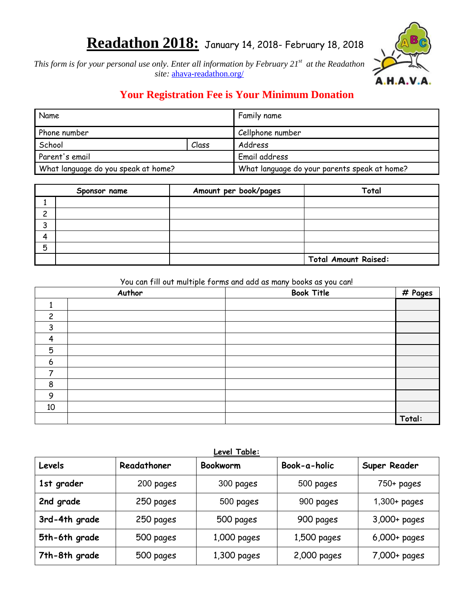# **Readathon 2018:** January 14, 2018- February 18, 2018



*This form is for your personal use only. Enter all information by February 21st at the Readathon site:* [ahava-readathon.org/](http://www.ahava-readathon.org/)

# **Your Registration Fee is Your Minimum Donation**

| Name                                |       | Family name                                  |  |
|-------------------------------------|-------|----------------------------------------------|--|
| Phone number                        |       | Cellphone number                             |  |
| School                              | Class | Address                                      |  |
| Parent's email                      |       | Email address                                |  |
| What language do you speak at home? |       | What language do your parents speak at home? |  |

<span id="page-0-1"></span>

|        | Sponsor name | Amount per book/pages | Total                       |
|--------|--------------|-----------------------|-----------------------------|
|        |              |                       |                             |
| ົ      |              |                       |                             |
| ર<br>ر |              |                       |                             |
| Δ      |              |                       |                             |
| 5      |              |                       |                             |
|        |              |                       | <b>Total Amount Raised:</b> |

#### You can fill out multiple forms and add as many books as you can!

|                | Author | <b>Book Title</b> | # Pages |
|----------------|--------|-------------------|---------|
|                |        |                   |         |
| $\overline{c}$ |        |                   |         |
| 3              |        |                   |         |
| $\overline{a}$ |        |                   |         |
| 5              |        |                   |         |
| 6              |        |                   |         |
|                |        |                   |         |
| 8              |        |                   |         |
| 9              |        |                   |         |
| 10             |        |                   |         |
|                |        |                   | Total:  |

<span id="page-0-0"></span>

| Levels        | Readathoner | Level Table:<br><b>Bookworm</b> | Book-a-holic | Super Reader   |
|---------------|-------------|---------------------------------|--------------|----------------|
| 1st grader    | 200 pages   | 300 pages                       | 500 pages    | $750 + pages$  |
| 2nd grade     | 250 pages   | 500 pages                       | 900 pages    | $1,300+$ pages |
| 3rd-4th grade | 250 pages   | 500 pages                       | 900 pages    | 3,000+ pages   |
| 5th-6th grade | 500 pages   | $1,000$ pages                   | 1,500 pages  | $6,000+$ pages |
| 7th-8th grade | 500 pages   | $1,300$ pages                   | 2,000 pages  | 7,000+ pages   |